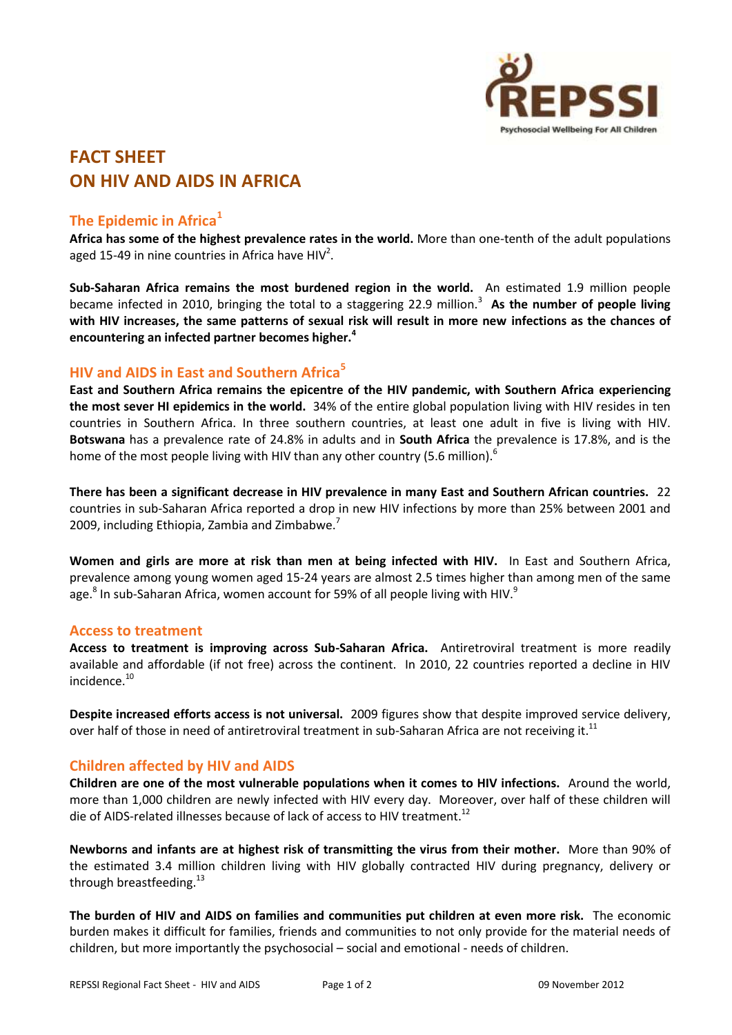

# **FACT SHEET ON HIV AND AIDS IN AFRICA**

## **The Epidemic in Africa<sup>1</sup>**

**Africa has some of the highest prevalence rates in the world.** More than one-tenth of the adult populations aged 15-49 in nine countries in Africa have  $HIV<sup>2</sup>$ .

**Sub-Saharan Africa remains the most burdened region in the world.** An estimated 1.9 million people became infected in 2010, bringing the total to a staggering 22.9 million.<sup>3</sup> As the number of people living **with HIV increases, the same patterns of sexual risk will result in more new infections as the chances of encountering an infected partner becomes higher.<sup>4</sup>**

# **HIV and AIDS in East and Southern Africa<sup>5</sup>**

**East and Southern Africa remains the epicentre of the HIV pandemic, with Southern Africa experiencing the most sever HI epidemics in the world.** 34% of the entire global population living with HIV resides in ten countries in Southern Africa. In three southern countries, at least one adult in five is living with HIV. **Botswana** has a prevalence rate of 24.8% in adults and in **South Africa** the prevalence is 17.8%, and is the home of the most people living with HIV than any other country (5.6 million).<sup>6</sup>

**There has been a significant decrease in HIV prevalence in many East and Southern African countries.** 22 countries in sub-Saharan Africa reported a drop in new HIV infections by more than 25% between 2001 and 2009, including Ethiopia, Zambia and Zimbabwe.<sup>7</sup>

**Women and girls are more at risk than men at being infected with HIV.** In East and Southern Africa, prevalence among young women aged 15-24 years are almost 2.5 times higher than among men of the same age. $^8$  In sub-Saharan Africa, women account for 59% of all people living with HIV. $^9$ 

#### **Access to treatment**

**Access to treatment is improving across Sub-Saharan Africa.** Antiretroviral treatment is more readily available and affordable (if not free) across the continent. In 2010, 22 countries reported a decline in HIV incidence.<sup>10</sup>

**Despite increased efforts access is not universal.** 2009 figures show that despite improved service delivery, over half of those in need of antiretroviral treatment in sub-Saharan Africa are not receiving it.<sup>11</sup>

### **Children affected by HIV and AIDS**

**Children are one of the most vulnerable populations when it comes to HIV infections.** Around the world, more than 1,000 children are newly infected with HIV every day. Moreover, over half of these children will die of AIDS-related illnesses because of lack of access to HIV treatment.<sup>12</sup>

**Newborns and infants are at highest risk of transmitting the virus from their mother.** More than 90% of the estimated 3.4 million children living with HIV globally contracted HIV during pregnancy, delivery or through breastfeeding.<sup>13</sup>

**The burden of HIV and AIDS on families and communities put children at even more risk.** The economic burden makes it difficult for families, friends and communities to not only provide for the material needs of children, but more importantly the psychosocial – social and emotional - needs of children.